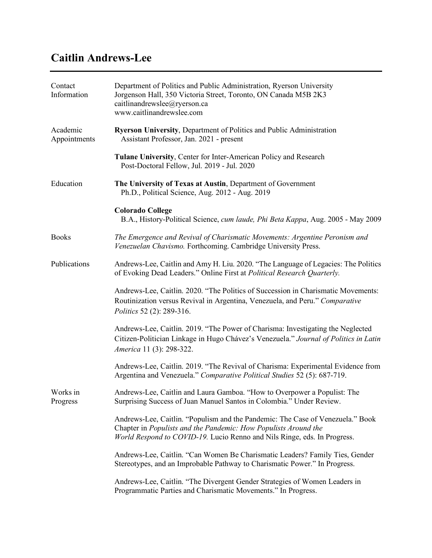# **Caitlin Andrews-Lee**

| Contact<br>Information   | Department of Politics and Public Administration, Ryerson University<br>Jorgenson Hall, 350 Victoria Street, Toronto, ON Canada M5B 2K3<br>caitlinandrewslee@ryerson.ca<br>www.caitlinandrewslee.com                          |
|--------------------------|-------------------------------------------------------------------------------------------------------------------------------------------------------------------------------------------------------------------------------|
| Academic<br>Appointments | <b>Ryerson University, Department of Politics and Public Administration</b><br>Assistant Professor, Jan. 2021 - present                                                                                                       |
|                          | Tulane University, Center for Inter-American Policy and Research<br>Post-Doctoral Fellow, Jul. 2019 - Jul. 2020                                                                                                               |
| Education                | The University of Texas at Austin, Department of Government<br>Ph.D., Political Science, Aug. 2012 - Aug. 2019                                                                                                                |
|                          | <b>Colorado College</b><br>B.A., History-Political Science, <i>cum laude, Phi Beta Kappa</i> , Aug. 2005 - May 2009                                                                                                           |
| <b>Books</b>             | The Emergence and Revival of Charismatic Movements: Argentine Peronism and<br>Venezuelan Chavismo. Forthcoming. Cambridge University Press.                                                                                   |
| Publications             | Andrews-Lee, Caitlin and Amy H. Liu. 2020. "The Language of Legacies: The Politics<br>of Evoking Dead Leaders." Online First at Political Research Quarterly.                                                                 |
|                          | Andrews-Lee, Caitlin. 2020. "The Politics of Succession in Charismatic Movements:<br>Routinization versus Revival in Argentina, Venezuela, and Peru." Comparative<br>Politics 52 (2): 289-316.                                |
|                          | Andrews-Lee, Caitlin. 2019. "The Power of Charisma: Investigating the Neglected<br>Citizen-Politician Linkage in Hugo Chávez's Venezuela." Journal of Politics in Latin<br>America 11 (3): 298-322.                           |
|                          | Andrews-Lee, Caitlin. 2019. "The Revival of Charisma: Experimental Evidence from<br>Argentina and Venezuela." Comparative Political Studies 52 (5): 687-719.                                                                  |
| Works in<br>Progress     | Andrews-Lee, Caitlin and Laura Gamboa. "How to Overpower a Populist: The<br>Surprising Success of Juan Manuel Santos in Colombia." Under Review.                                                                              |
|                          | Andrews-Lee, Caitlin. "Populism and the Pandemic: The Case of Venezuela." Book<br>Chapter in Populists and the Pandemic: How Populists Around the<br>World Respond to COVID-19. Lucio Renno and Nils Ringe, eds. In Progress. |
|                          | Andrews-Lee, Caitlin. "Can Women Be Charismatic Leaders? Family Ties, Gender<br>Stereotypes, and an Improbable Pathway to Charismatic Power." In Progress.                                                                    |
|                          | Andrews-Lee, Caitlin. "The Divergent Gender Strategies of Women Leaders in<br>Programmatic Parties and Charismatic Movements." In Progress.                                                                                   |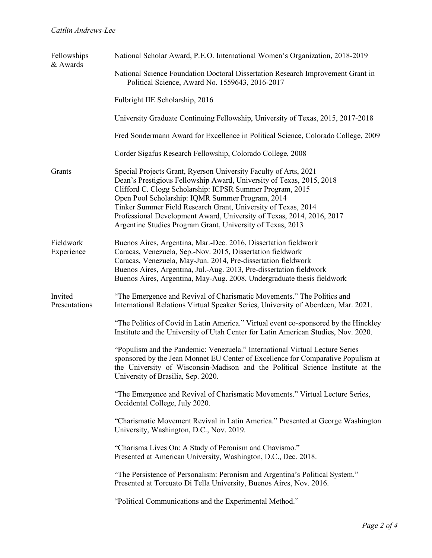| Fellowships<br>& Awards  | National Scholar Award, P.E.O. International Women's Organization, 2018-2019                                                                                                                                                                                                                                                                                                                                                                                      |
|--------------------------|-------------------------------------------------------------------------------------------------------------------------------------------------------------------------------------------------------------------------------------------------------------------------------------------------------------------------------------------------------------------------------------------------------------------------------------------------------------------|
|                          | National Science Foundation Doctoral Dissertation Research Improvement Grant in<br>Political Science, Award No. 1559643, 2016-2017                                                                                                                                                                                                                                                                                                                                |
|                          | Fulbright IIE Scholarship, 2016                                                                                                                                                                                                                                                                                                                                                                                                                                   |
|                          | University Graduate Continuing Fellowship, University of Texas, 2015, 2017-2018                                                                                                                                                                                                                                                                                                                                                                                   |
|                          | Fred Sondermann Award for Excellence in Political Science, Colorado College, 2009                                                                                                                                                                                                                                                                                                                                                                                 |
|                          | Corder Sigafus Research Fellowship, Colorado College, 2008                                                                                                                                                                                                                                                                                                                                                                                                        |
| Grants                   | Special Projects Grant, Ryerson University Faculty of Arts, 2021<br>Dean's Prestigious Fellowship Award, University of Texas, 2015, 2018<br>Clifford C. Clogg Scholarship: ICPSR Summer Program, 2015<br>Open Pool Scholarship: IQMR Summer Program, 2014<br>Tinker Summer Field Research Grant, University of Texas, 2014<br>Professional Development Award, University of Texas, 2014, 2016, 2017<br>Argentine Studies Program Grant, University of Texas, 2013 |
| Fieldwork<br>Experience  | Buenos Aires, Argentina, Mar.-Dec. 2016, Dissertation fieldwork<br>Caracas, Venezuela, Sep.-Nov. 2015, Dissertation fieldwork<br>Caracas, Venezuela, May-Jun. 2014, Pre-dissertation fieldwork<br>Buenos Aires, Argentina, Jul.-Aug. 2013, Pre-dissertation fieldwork<br>Buenos Aires, Argentina, May-Aug. 2008, Undergraduate thesis fieldwork                                                                                                                   |
| Invited<br>Presentations | "The Emergence and Revival of Charismatic Movements." The Politics and<br>International Relations Virtual Speaker Series, University of Aberdeen, Mar. 2021.                                                                                                                                                                                                                                                                                                      |
|                          | "The Politics of Covid in Latin America." Virtual event co-sponsored by the Hinckley<br>Institute and the University of Utah Center for Latin American Studies, Nov. 2020.                                                                                                                                                                                                                                                                                        |
|                          | "Populism and the Pandemic: Venezuela." International Virtual Lecture Series<br>sponsored by the Jean Monnet EU Center of Excellence for Comparative Populism at<br>the University of Wisconsin-Madison and the Political Science Institute at the<br>University of Brasilia, Sep. 2020.                                                                                                                                                                          |
|                          | "The Emergence and Revival of Charismatic Movements." Virtual Lecture Series,<br>Occidental College, July 2020.                                                                                                                                                                                                                                                                                                                                                   |
|                          | "Charismatic Movement Revival in Latin America." Presented at George Washington<br>University, Washington, D.C., Nov. 2019.                                                                                                                                                                                                                                                                                                                                       |
|                          | "Charisma Lives On: A Study of Peronism and Chavismo."<br>Presented at American University, Washington, D.C., Dec. 2018.                                                                                                                                                                                                                                                                                                                                          |
|                          | "The Persistence of Personalism: Peronism and Argentina's Political System."<br>Presented at Torcuato Di Tella University, Buenos Aires, Nov. 2016.                                                                                                                                                                                                                                                                                                               |
|                          | "Political Communications and the Experimental Method."                                                                                                                                                                                                                                                                                                                                                                                                           |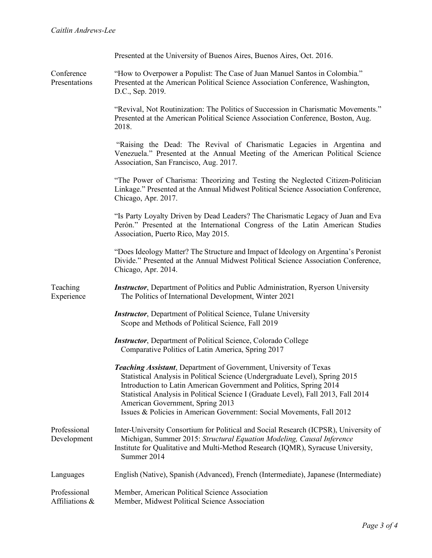|                                | Presented at the University of Buenos Aires, Buenos Aires, Oct. 2016.                                                                                                                                                                                                                                                                                                                                                       |
|--------------------------------|-----------------------------------------------------------------------------------------------------------------------------------------------------------------------------------------------------------------------------------------------------------------------------------------------------------------------------------------------------------------------------------------------------------------------------|
| Conference<br>Presentations    | "How to Overpower a Populist: The Case of Juan Manuel Santos in Colombia."<br>Presented at the American Political Science Association Conference, Washington,<br>D.C., Sep. 2019.                                                                                                                                                                                                                                           |
|                                | "Revival, Not Routinization: The Politics of Succession in Charismatic Movements."<br>Presented at the American Political Science Association Conference, Boston, Aug.<br>2018.                                                                                                                                                                                                                                             |
|                                | "Raising the Dead: The Revival of Charismatic Legacies in Argentina and<br>Venezuela." Presented at the Annual Meeting of the American Political Science<br>Association, San Francisco, Aug. 2017.                                                                                                                                                                                                                          |
|                                | "The Power of Charisma: Theorizing and Testing the Neglected Citizen-Politician<br>Linkage." Presented at the Annual Midwest Political Science Association Conference,<br>Chicago, Apr. 2017.                                                                                                                                                                                                                               |
|                                | "Is Party Loyalty Driven by Dead Leaders? The Charismatic Legacy of Juan and Eva<br>Perón." Presented at the International Congress of the Latin American Studies<br>Association, Puerto Rico, May 2015.                                                                                                                                                                                                                    |
|                                | "Does Ideology Matter? The Structure and Impact of Ideology on Argentina's Peronist<br>Divide." Presented at the Annual Midwest Political Science Association Conference,<br>Chicago, Apr. 2014.                                                                                                                                                                                                                            |
| Teaching<br>Experience         | <b>Instructor</b> , Department of Politics and Public Administration, Ryerson University<br>The Politics of International Development, Winter 2021                                                                                                                                                                                                                                                                          |
|                                | <b>Instructor</b> , Department of Political Science, Tulane University<br>Scope and Methods of Political Science, Fall 2019                                                                                                                                                                                                                                                                                                 |
|                                | <b>Instructor</b> , Department of Political Science, Colorado College<br>Comparative Politics of Latin America, Spring 2017                                                                                                                                                                                                                                                                                                 |
|                                | Teaching Assistant, Department of Government, University of Texas<br>Statistical Analysis in Political Science (Undergraduate Level), Spring 2015<br>Introduction to Latin American Government and Politics, Spring 2014<br>Statistical Analysis in Political Science I (Graduate Level), Fall 2013, Fall 2014<br>American Government, Spring 2013<br>Issues & Policies in American Government: Social Movements, Fall 2012 |
| Professional<br>Development    | Inter-University Consortium for Political and Social Research (ICPSR), University of<br>Michigan, Summer 2015: Structural Equation Modeling, Causal Inference<br>Institute for Qualitative and Multi-Method Research (IQMR), Syracuse University,<br>Summer 2014                                                                                                                                                            |
| Languages                      | English (Native), Spanish (Advanced), French (Intermediate), Japanese (Intermediate)                                                                                                                                                                                                                                                                                                                                        |
| Professional<br>Affiliations & | Member, American Political Science Association<br>Member, Midwest Political Science Association                                                                                                                                                                                                                                                                                                                             |